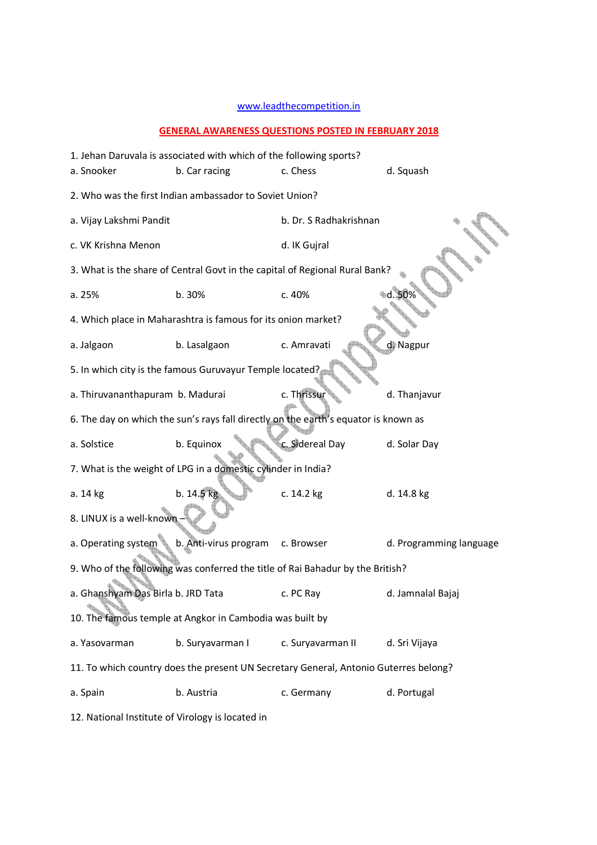## www.leadthecompetition.in

## **GENERAL AWARENESS QUESTIONS POSTED IN FEBRUARY 2018**

|                                                  | 1. Jehan Daruvala is associated with which of the following sports? |                                                                                      |                         |
|--------------------------------------------------|---------------------------------------------------------------------|--------------------------------------------------------------------------------------|-------------------------|
| a. Snooker                                       | b. Car racing                                                       | c. Chess                                                                             | d. Squash               |
|                                                  | 2. Who was the first Indian ambassador to Soviet Union?             |                                                                                      |                         |
| a. Vijay Lakshmi Pandit                          |                                                                     | b. Dr. S Radhakrishnan                                                               |                         |
| c. VK Krishna Menon                              |                                                                     | d. IK Gujral                                                                         |                         |
|                                                  |                                                                     | 3. What is the share of Central Govt in the capital of Regional Rural Bank?          |                         |
| a. 25%                                           | b. 30%                                                              | c. 40%                                                                               | ⊪d. 50%                 |
|                                                  | 4. Which place in Maharashtra is famous for its onion market?       |                                                                                      |                         |
| a. Jalgaon                                       | b. Lasalgaon                                                        | c. Amravati                                                                          | d Nagpur                |
|                                                  | 5. In which city is the famous Guruvayur Temple located?            |                                                                                      |                         |
| a. Thiruvananthapuram b. Madurai                 |                                                                     | c. Thrissur                                                                          | d. Thanjavur            |
|                                                  |                                                                     | 6. The day on which the sun's rays fall directly on the earth's equator is known as  |                         |
| a. Solstice                                      | b. Equinox                                                          | c. Sidereal Day                                                                      | d. Solar Day            |
|                                                  | 7. What is the weight of LPG in a domestic cylinder in India?       |                                                                                      |                         |
| a. 14 kg                                         | b. 14.5 kg                                                          | c. 14.2 kg                                                                           | d. 14.8 kg              |
| 8. LINUX is a well-known                         |                                                                     |                                                                                      |                         |
| a. Operating system                              | b. Anti-virus program                                               | c. Browser                                                                           | d. Programming language |
|                                                  |                                                                     | 9. Who of the following was conferred the title of Rai Bahadur by the British?       |                         |
| a. Ghanshyam Das Birla b. JRD Tata               |                                                                     | c. PC Ray                                                                            | d. Jamnalal Bajaj       |
|                                                  | 10. The famous temple at Angkor in Cambodia was built by            |                                                                                      |                         |
| a. Yasovarman                                    | b. Suryavarman I                                                    | c. Suryavarman II                                                                    | d. Sri Vijaya           |
|                                                  |                                                                     | 11. To which country does the present UN Secretary General, Antonio Guterres belong? |                         |
| a. Spain                                         | b. Austria                                                          | c. Germany                                                                           | d. Portugal             |
| 12. National Institute of Virology is located in |                                                                     |                                                                                      |                         |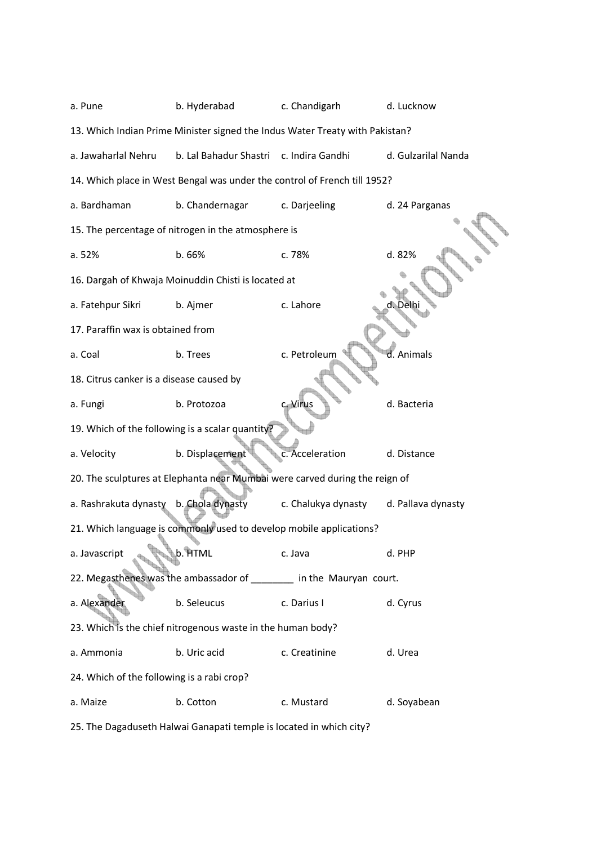| a. Pune                                    | b. Hyderabad                                                                 | c. Chandigarh       | d. Lucknow          |
|--------------------------------------------|------------------------------------------------------------------------------|---------------------|---------------------|
|                                            | 13. Which Indian Prime Minister signed the Indus Water Treaty with Pakistan? |                     |                     |
| a. Jawaharlal Nehru                        | b. Lal Bahadur Shastri c. Indira Gandhi                                      |                     | d. Gulzarilal Nanda |
|                                            | 14. Which place in West Bengal was under the control of French till 1952?    |                     |                     |
| a. Bardhaman                               | b. Chandernagar                                                              | c. Darjeeling       | d. 24 Parganas      |
|                                            | 15. The percentage of nitrogen in the atmosphere is                          |                     |                     |
| a. 52%                                     | b. 66%                                                                       | c. 78%              | d. 82%              |
|                                            | 16. Dargah of Khwaja Moinuddin Chisti is located at                          |                     |                     |
| a. Fatehpur Sikri                          | b. Ajmer                                                                     | c. Lahore           |                     |
| 17. Paraffin wax is obtained from          |                                                                              |                     |                     |
| a. Coal                                    | b. Trees                                                                     | c. Petroleum        | d. Animals          |
| 18. Citrus canker is a disease caused by   |                                                                              |                     |                     |
| a. Fungi                                   | b. Protozoa                                                                  | c. Virus            | d. Bacteria         |
|                                            | 19. Which of the following is a scalar quantity?                             |                     |                     |
| a. Velocity                                | b. Displacement                                                              | c. Acceleration     | d. Distance         |
|                                            | 20. The sculptures at Elephanta near Mumbai were carved during the reign of  |                     |                     |
| a. Rashrakuta dynasty                      | b. Chola dynasty                                                             | c. Chalukya dynasty | d. Pallava dynasty  |
|                                            | 21. Which language is commonly used to develop mobile applications?          |                     |                     |
| a. Javascript                              | b. HTML                                                                      | c. Java             | d. PHP              |
|                                            | 22. Megasthenes was the ambassador of _______ in the Mauryan court.          |                     |                     |
| a. Alexander                               | b. Seleucus                                                                  | c. Darius I         | d. Cyrus            |
|                                            | 23. Which is the chief nitrogenous waste in the human body?                  |                     |                     |
| a. Ammonia                                 | b. Uric acid                                                                 | c. Creatinine       | d. Urea             |
| 24. Which of the following is a rabi crop? |                                                                              |                     |                     |
| a. Maize                                   | b. Cotton                                                                    | c. Mustard          | d. Soyabean         |

25. The Dagaduseth Halwai Ganapati temple is located in which city?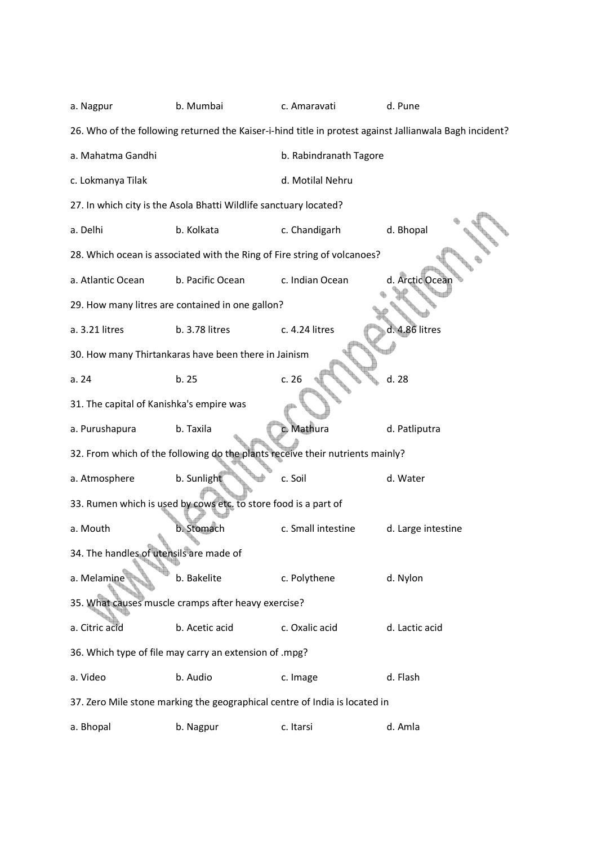| a. Nagpur                                | b. Mumbai                                                                     | c. Amaravati           | d. Pune                                                                                                 |
|------------------------------------------|-------------------------------------------------------------------------------|------------------------|---------------------------------------------------------------------------------------------------------|
|                                          |                                                                               |                        | 26. Who of the following returned the Kaiser-i-hind title in protest against Jallianwala Bagh incident? |
| a. Mahatma Gandhi                        |                                                                               | b. Rabindranath Tagore |                                                                                                         |
| c. Lokmanya Tilak                        |                                                                               | d. Motilal Nehru       |                                                                                                         |
|                                          | 27. In which city is the Asola Bhatti Wildlife sanctuary located?             |                        |                                                                                                         |
| a. Delhi                                 | b. Kolkata                                                                    | c. Chandigarh          | d. Bhopal                                                                                               |
|                                          | 28. Which ocean is associated with the Ring of Fire string of volcanoes?      |                        |                                                                                                         |
| a. Atlantic Ocean                        | b. Pacific Ocean                                                              | c. Indian Ocean        | d. Arctic Ocear                                                                                         |
|                                          | 29. How many litres are contained in one gallon?                              |                        |                                                                                                         |
| a. 3.21 litres                           | b. 3.78 litres                                                                | c. 4.24 litres         | d. 4.86 litres                                                                                          |
|                                          | 30. How many Thirtankaras have been there in Jainism                          |                        |                                                                                                         |
| a.24                                     | b. 25                                                                         | c.26                   | d. 28                                                                                                   |
| 31. The capital of Kanishka's empire was |                                                                               |                        |                                                                                                         |
| a. Purushapura                           | b. Taxila                                                                     | c. Mathura             | d. Patliputra                                                                                           |
|                                          | 32. From which of the following do the plants receive their nutrients mainly? |                        |                                                                                                         |
| a. Atmosphere                            | b. Sunlight                                                                   | c. Soil                | d. Water                                                                                                |
|                                          | 33. Rumen which is used by cows etc. to store food is a part of               |                        |                                                                                                         |
| a. Mouth                                 | b. Stomach                                                                    | c. Small intestine     | d. Large intestine                                                                                      |
| 34. The handles of utensils are made of  |                                                                               |                        |                                                                                                         |
| a. Melamine                              | b. Bakelite                                                                   | c. Polythene           | d. Nylon                                                                                                |
|                                          | 35. What causes muscle cramps after heavy exercise?                           |                        |                                                                                                         |
| a. Citric acid                           | b. Acetic acid                                                                | c. Oxalic acid         | d. Lactic acid                                                                                          |
|                                          | 36. Which type of file may carry an extension of .mpg?                        |                        |                                                                                                         |
| a. Video                                 | b. Audio                                                                      | c. Image               | d. Flash                                                                                                |
|                                          | 37. Zero Mile stone marking the geographical centre of India is located in    |                        |                                                                                                         |
| a. Bhopal                                | b. Nagpur                                                                     | c. Itarsi              | d. Amla                                                                                                 |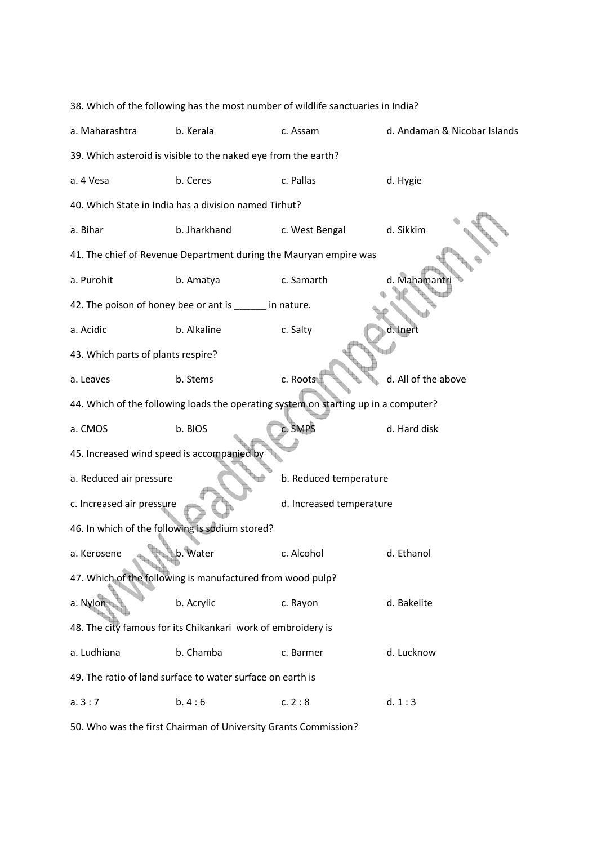|                                            | 38. Which of the following has the most number of wildlife sanctuaries in India?    |                          |                              |
|--------------------------------------------|-------------------------------------------------------------------------------------|--------------------------|------------------------------|
| a. Maharashtra                             | b. Kerala                                                                           | c. Assam                 | d. Andaman & Nicobar Islands |
|                                            | 39. Which asteroid is visible to the naked eye from the earth?                      |                          |                              |
| a. 4 Vesa                                  | b. Ceres                                                                            | c. Pallas                | d. Hygie                     |
|                                            | 40. Which State in India has a division named Tirhut?                               |                          |                              |
| a. Bihar                                   | b. Jharkhand                                                                        | c. West Bengal           | d. Sikkim                    |
|                                            | 41. The chief of Revenue Department during the Mauryan empire was                   |                          |                              |
| a. Purohit                                 | b. Amatya                                                                           | c. Samarth               | d. Mahamantr                 |
|                                            | 42. The poison of honey bee or ant is _______ in nature.                            |                          |                              |
| a. Acidic                                  | b. Alkaline                                                                         | c. Salty                 | d. Inert                     |
| 43. Which parts of plants respire?         |                                                                                     |                          |                              |
| a. Leaves                                  | b. Stems                                                                            | c. Roots                 | d. All of the above          |
|                                            | 44. Which of the following loads the operating system on starting up in a computer? |                          |                              |
| a. CMOS                                    | b. BIOS                                                                             | c. SMPS                  | d. Hard disk                 |
| 45. Increased wind speed is accompanied by |                                                                                     |                          |                              |
| a. Reduced air pressure                    |                                                                                     | b. Reduced temperature   |                              |
| c. Increased air pressure                  |                                                                                     | d. Increased temperature |                              |
|                                            | 46. In which of the following is sodium stored?                                     |                          |                              |
| a. Kerosene                                | b. Water                                                                            | c. Alcohol               | d. Ethanol                   |
|                                            | 47. Which of the following is manufactured from wood pulp?                          |                          |                              |
| a. Nylon                                   | b. Acrylic                                                                          | c. Rayon                 | d. Bakelite                  |
|                                            | 48. The city famous for its Chikankari work of embroidery is                        |                          |                              |
| a. Ludhiana                                | b. Chamba                                                                           | c. Barmer                | d. Lucknow                   |
|                                            | 49. The ratio of land surface to water surface on earth is                          |                          |                              |
| a.3:7                                      | b.4:6                                                                               | c. 2:8                   | d. 1:3                       |

50. Who was the first Chairman of University Grants Commission?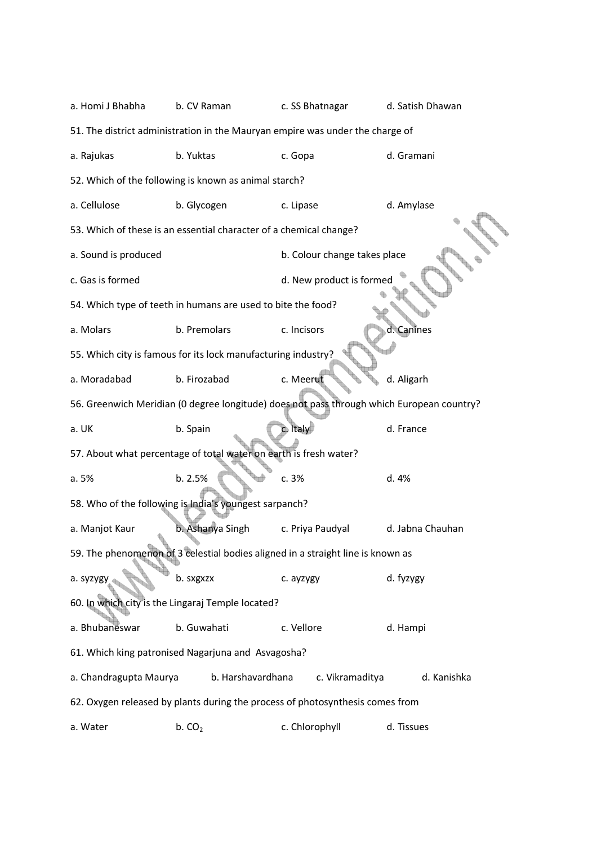a. Homi J Bhabha b. CV Raman c. SS Bhatnagar d. Satish Dhawan 51. The district administration in the Mauryan empire was under the charge of a. Rajukas b. Yuktas c. Gopa d. Gramani 52. Which of the following is known as animal starch? a. Cellulose b. Glycogen c. Lipase d. Amylase 53. Which of these is an essential character of a chemical change? a. Sound is produced b. Colour change takes place c. Gas is formed d. New product is formed 54. Which type of teeth in humans are used to bite the food? a. Molars b. Premolars c. Incisors d. Canines 55. Which city is famous for its lock manufacturing industry? a. Moradabad b. Firozabad c. Meerut d. Aligarh 56. Greenwich Meridian (0 degree longitude) does not pass through which European country? a. UK b. Spain c. Italy d. France 57. About what percentage of total water on earth is fresh water? a. 5% b. 2.5% c. 3% d. 4% 58. Who of the following is India's youngest sarpanch? a. Manjot Kaur b. Ashanya Singh c. Priya Paudyal d. Jabna Chauhan 59. The phenomenon of 3 celestial bodies aligned in a straight line is known as a. syzygy and the syzygy b. sxgxzx c. ayzygy d. fyzygy 60. In which city is the Lingaraj Temple located? a. Bhubaneswar b. Guwahati c. Vellore d. Hampi 61. Which king patronised Nagarjuna and Asvagosha? a. Chandragupta Maurya b. Harshavardhana c. Vikramaditya d. Kanishka 62. Oxygen released by plants during the process of photosynthesis comes from a. Water  $b. CO<sub>2</sub>$  c. Chlorophyll d. Tissues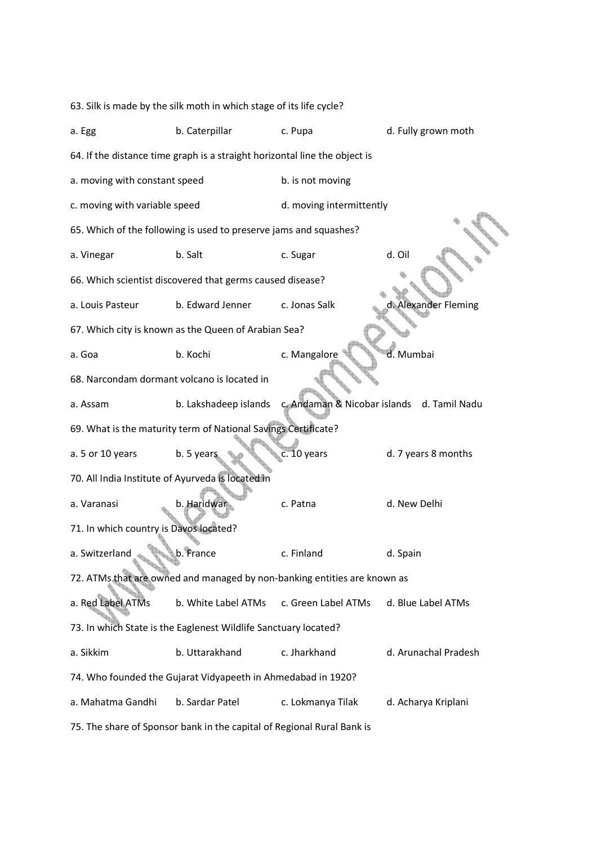|                                                   | 63. Silk is made by the silk moth in which stage of its life cycle?        |                                            |                      |
|---------------------------------------------------|----------------------------------------------------------------------------|--------------------------------------------|----------------------|
| a. Egg                                            | b. Caterpillar                                                             | c. Pupa                                    | d. Fully grown moth  |
|                                                   | 64. If the distance time graph is a straight horizontal line the object is |                                            |                      |
| a. moving with constant speed                     |                                                                            | b. is not moving                           |                      |
| c. moving with variable speed                     |                                                                            | d. moving intermittently                   |                      |
|                                                   | 65. Which of the following is used to preserve jams and squashes?          |                                            |                      |
| a. Vinegar                                        | b. Salt                                                                    | c. Sugar                                   | d. Oil               |
|                                                   | 66. Which scientist discovered that germs caused disease?                  |                                            |                      |
| a. Louis Pasteur                                  | b. Edward Jenner                                                           | c. Jonas Salk                              | d. Alexander Fleming |
|                                                   | 67. Which city is known as the Queen of Arabian Sea?                       |                                            |                      |
| a. Goa                                            | b. Kochi                                                                   | c. Mangalore                               | d. Mumbai            |
| 68. Narcondam dormant volcano is located in       |                                                                            |                                            |                      |
| a. Assam                                          | b. Lakshadeep islands                                                      | c. Andaman & Nicobar islands d. Tamil Nadu |                      |
|                                                   | 69. What is the maturity term of National Savings Certificate?             |                                            |                      |
| a. 5 or 10 years                                  | b. 5 years                                                                 | c. 10 years                                | d. 7 years 8 months  |
| 70. All India Institute of Ayurveda is located in |                                                                            |                                            |                      |
| a. Varanasi                                       | b. Haridwar                                                                | c. Patna                                   | d. New Delhi         |
| 71. In which country is Davos located?            |                                                                            |                                            |                      |
| a. Switzerland                                    | b. France                                                                  | c. Finland                                 | d. Spain             |
|                                                   | 72. ATMs that are owned and managed by non-banking entities are known as   |                                            |                      |
| a. Red Label ATMs                                 | b. White Label ATMs                                                        | c. Green Label ATMs                        | d. Blue Label ATMs   |
|                                                   | 73. In which State is the Eaglenest Wildlife Sanctuary located?            |                                            |                      |
| a. Sikkim                                         | b. Uttarakhand                                                             | c. Jharkhand                               | d. Arunachal Pradesh |
|                                                   | 74. Who founded the Gujarat Vidyapeeth in Ahmedabad in 1920?               |                                            |                      |
| a. Mahatma Gandhi                                 | b. Sardar Patel                                                            | c. Lokmanya Tilak                          | d. Acharya Kriplani  |
|                                                   | 75. The share of Sponsor bank in the capital of Regional Rural Bank is     |                                            |                      |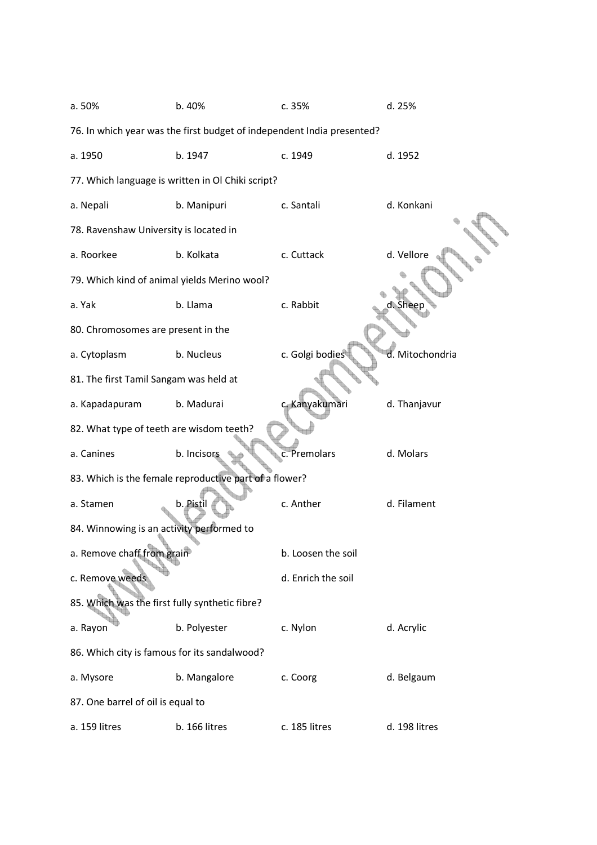| a. 50%                                         | b. 40%                                                                 | c. 35%             | d. 25%          |
|------------------------------------------------|------------------------------------------------------------------------|--------------------|-----------------|
|                                                | 76. In which year was the first budget of independent India presented? |                    |                 |
| a. 1950                                        | b. 1947                                                                | c. 1949            | d. 1952         |
|                                                | 77. Which language is written in Ol Chiki script?                      |                    |                 |
| a. Nepali                                      | b. Manipuri                                                            | c. Santali         | d. Konkani      |
| 78. Ravenshaw University is located in         |                                                                        |                    |                 |
| a. Roorkee                                     | b. Kolkata                                                             | c. Cuttack         | d. Vellore      |
| 79. Which kind of animal yields Merino wool?   |                                                                        |                    |                 |
| a. Yak                                         | b. Llama                                                               | c. Rabbit          | <b>.</b> Shee   |
| 80. Chromosomes are present in the             |                                                                        |                    |                 |
| a. Cytoplasm                                   | b. Nucleus                                                             | c. Golgi bodies    | d. Mitochondria |
| 81. The first Tamil Sangam was held at         |                                                                        |                    |                 |
| a. Kapadapuram                                 | b. Madurai                                                             | c. Kanyakumari     | d. Thanjavur    |
| 82. What type of teeth are wisdom teeth?       |                                                                        |                    |                 |
| a. Canines                                     | b. Incisors                                                            | c. Premolars       | d. Molars       |
|                                                | 83. Which is the female reproductive part of a flower?                 |                    |                 |
| a. Stamen                                      | b. Pistil                                                              | c. Anther          | d. Filament     |
| 84. Winnowing is an activity performed to      |                                                                        |                    |                 |
| a. Remove chaff from grain                     |                                                                        | b. Loosen the soil |                 |
| c. Remove weeds                                |                                                                        | d. Enrich the soil |                 |
| 85. Which was the first fully synthetic fibre? |                                                                        |                    |                 |
| a. Rayon                                       | b. Polyester                                                           | c. Nylon           | d. Acrylic      |
| 86. Which city is famous for its sandalwood?   |                                                                        |                    |                 |
| a. Mysore                                      | b. Mangalore                                                           | c. Coorg           | d. Belgaum      |
| 87. One barrel of oil is equal to              |                                                                        |                    |                 |
| a. 159 litres                                  | b. 166 litres                                                          | c. 185 litres      | d. 198 litres   |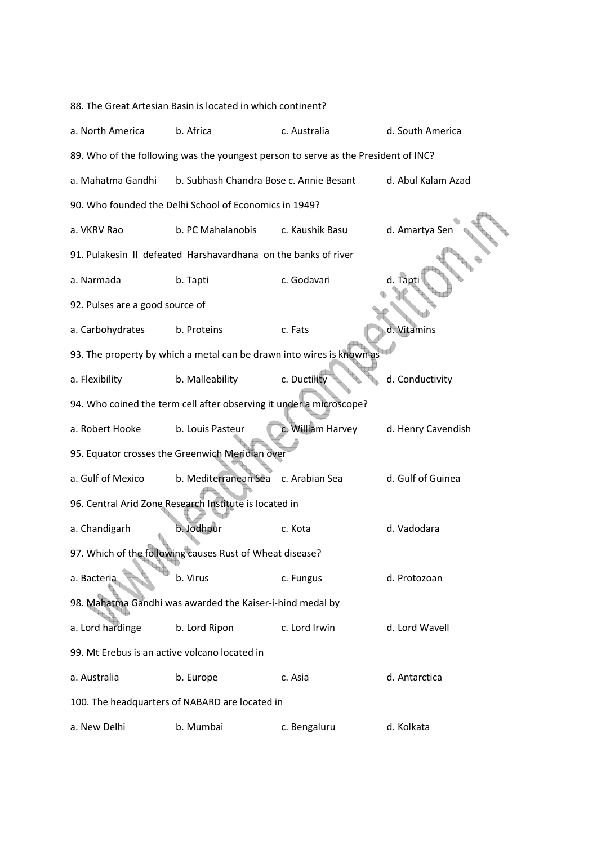|                                               | 88. The Great Artesian Basin is located in which continent?                        |                   |                    |
|-----------------------------------------------|------------------------------------------------------------------------------------|-------------------|--------------------|
| a. North America                              | b. Africa                                                                          | c. Australia      | d. South America   |
|                                               | 89. Who of the following was the youngest person to serve as the President of INC? |                   |                    |
| a. Mahatma Gandhi                             | b. Subhash Chandra Bose c. Annie Besant                                            |                   | d. Abul Kalam Azad |
|                                               | 90. Who founded the Delhi School of Economics in 1949?                             |                   |                    |
| a. VKRV Rao                                   | b. PC Mahalanobis                                                                  | c. Kaushik Basu   | d. Amartya Sen     |
|                                               | 91. Pulakesin II defeated Harshavardhana on the banks of river                     |                   |                    |
| a. Narmada                                    | b. Tapti                                                                           | c. Godavari       | d. Tapti           |
| 92. Pulses are a good source of               |                                                                                    |                   |                    |
| a. Carbohydrates                              | b. Proteins                                                                        | c. Fats           | d. Vitamins        |
|                                               | 93. The property by which a metal can be drawn into wires is known as              |                   |                    |
| a. Flexibility                                | b. Malleability                                                                    | c. Ductility      | d. Conductivity    |
|                                               | 94. Who coined the term cell after observing it under a microscope?                |                   |                    |
| a. Robert Hooke                               | b. Louis Pasteur                                                                   | c. William Harvey | d. Henry Cavendish |
|                                               | 95. Equator crosses the Greenwich Meridian over                                    |                   |                    |
| a. Gulf of Mexico                             | b. Mediterranean Sea                                                               | c. Arabian Sea    | d. Gulf of Guinea  |
|                                               | 96. Central Arid Zone Research Institute is located in                             |                   |                    |
| a. Chandigarh                                 | b. Jodhpur                                                                         | c. Kota           | d. Vadodara        |
|                                               | 97. Which of the following causes Rust of Wheat disease?                           |                   |                    |
| a. Bacteria                                   | b. Virus                                                                           | c. Fungus         | d. Protozoan       |
|                                               | 98. Mahatma Gandhi was awarded the Kaiser-i-hind medal by                          |                   |                    |
| a. Lord hardinge                              | b. Lord Ripon                                                                      | c. Lord Irwin     | d. Lord Wavell     |
| 99. Mt Erebus is an active volcano located in |                                                                                    |                   |                    |
| a. Australia                                  | b. Europe                                                                          | c. Asia           | d. Antarctica      |
|                                               | 100. The headquarters of NABARD are located in                                     |                   |                    |
| a. New Delhi                                  | b. Mumbai                                                                          | c. Bengaluru      | d. Kolkata         |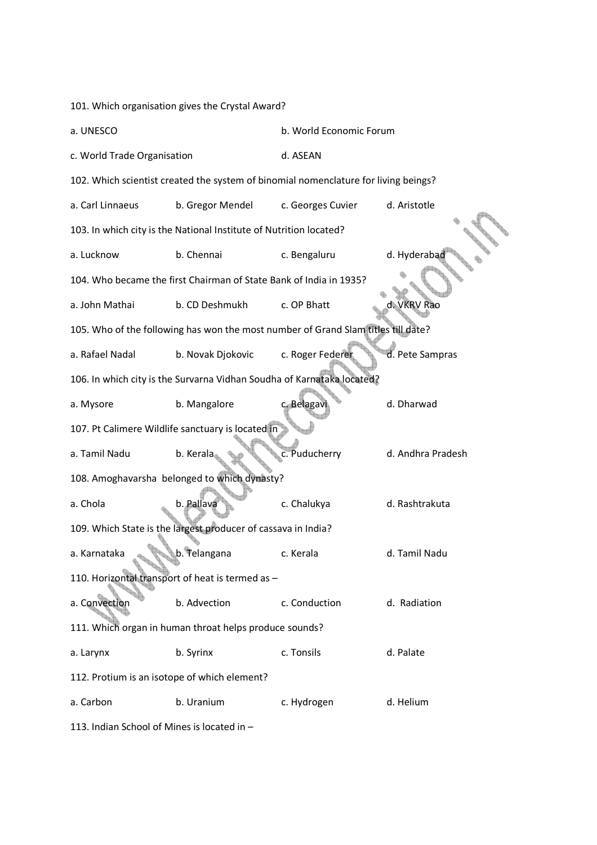101. Which organisation gives the Crystal Award?

| a. UNESCO                   |                                                                                     | b. World Economic Forum |                   |
|-----------------------------|-------------------------------------------------------------------------------------|-------------------------|-------------------|
| c. World Trade Organisation |                                                                                     | d. ASEAN                |                   |
|                             | 102. Which scientist created the system of binomial nomenclature for living beings? |                         |                   |
| a. Carl Linnaeus            | b. Gregor Mendel                                                                    | c. Georges Cuvier       | d. Aristotle      |
|                             | 103. In which city is the National Institute of Nutrition located?                  |                         |                   |
| a. Lucknow                  | b. Chennai                                                                          | c. Bengaluru            | d. Hyderabad      |
|                             | 104. Who became the first Chairman of State Bank of India in 1935?                  |                         |                   |
| a. John Mathai              | b. CD Deshmukh                                                                      | c. OP Bhatt             | d. VKRV Rao       |
|                             | 105. Who of the following has won the most number of Grand Slam titles till date?   |                         |                   |
| a. Rafael Nadal             | b. Novak Djokovic                                                                   | c. Roger Federer        | d. Pete Sampras   |
|                             | 106. In which city is the Survarna Vidhan Soudha of Karnataka located?              |                         |                   |
| a. Mysore                   | b. Mangalore                                                                        | c. Belagav              | d. Dharwad        |
|                             | 107. Pt Calimere Wildlife sanctuary is located in                                   |                         |                   |
| a. Tamil Nadu               | b. Kerala                                                                           | c. Puducherry           | d. Andhra Pradesh |
|                             | 108. Amoghavarsha belonged to which dynasty?                                        |                         |                   |
| a. Chola                    | b. Pallava                                                                          | c. Chalukya             | d. Rashtrakuta    |
|                             | 109. Which State is the largest producer of cassava in India?                       |                         |                   |
| a. Karnataka                | b. Telangana                                                                        | c. Kerala               | d. Tamil Nadu     |
|                             | 110. Horizontal transport of heat is termed as -                                    |                         |                   |
| a. Convection               | b. Advection                                                                        | c. Conduction           | d. Radiation      |
|                             | 111. Which organ in human throat helps produce sounds?                              |                         |                   |
| a. Larynx                   | b. Syrinx                                                                           | c. Tonsils              | d. Palate         |
|                             | 112. Protium is an isotope of which element?                                        |                         |                   |
| a. Carbon                   | b. Uranium                                                                          | c. Hydrogen             | d. Helium         |
|                             |                                                                                     |                         |                   |

113. Indian School of Mines is located in –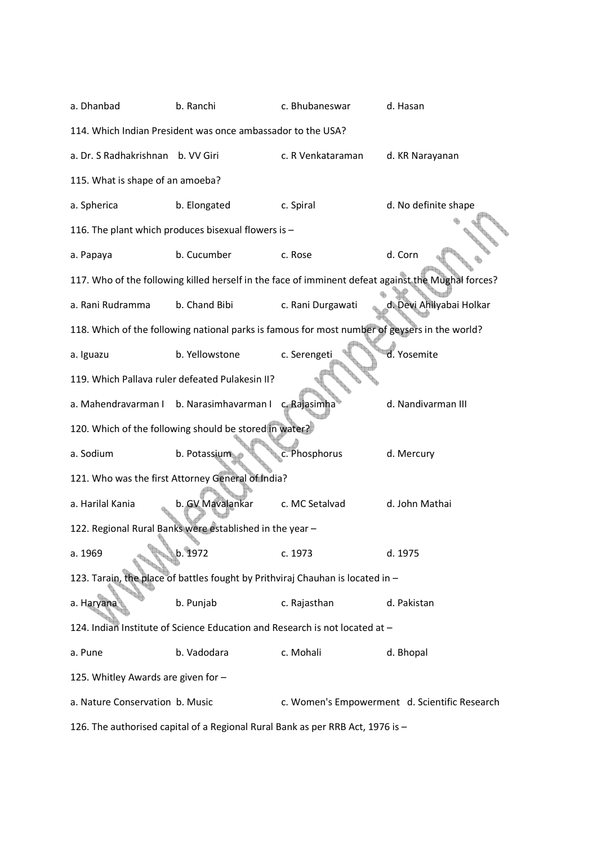| a. Dhanbad                          | b. Ranchi                                                                                     | c. Bhubaneswar    | d. Hasan                                                                                           |
|-------------------------------------|-----------------------------------------------------------------------------------------------|-------------------|----------------------------------------------------------------------------------------------------|
|                                     | 114. Which Indian President was once ambassador to the USA?                                   |                   |                                                                                                    |
| a. Dr. S Radhakrishnan              | b. VV Giri                                                                                    | c. R Venkataraman | d. KR Narayanan                                                                                    |
| 115. What is shape of an amoeba?    |                                                                                               |                   |                                                                                                    |
| a. Spherica                         | b. Elongated                                                                                  | c. Spiral         | d. No definite shape                                                                               |
|                                     | 116. The plant which produces bisexual flowers is -                                           |                   |                                                                                                    |
| a. Papaya                           | b. Cucumber                                                                                   | c. Rose           | d. Corn                                                                                            |
|                                     |                                                                                               |                   | 117. Who of the following killed herself in the face of imminent defeat against the Mughal forces? |
| a. Rani Rudramma                    | b. Chand Bibi                                                                                 | c. Rani Durgawati | d. Devi Ahilyabai Holkar                                                                           |
|                                     | 118. Which of the following national parks is famous for most number of geysers in the world? |                   |                                                                                                    |
| a. Iguazu                           | b. Yellowstone                                                                                | c. Serengeti      | d. Yosemite                                                                                        |
|                                     | 119. Which Pallava ruler defeated Pulakesin II?                                               |                   |                                                                                                    |
|                                     | a. Mahendravarman I b. Narasimhavarman I                                                      | c. Rajasimha      | d. Nandivarman III                                                                                 |
|                                     | 120. Which of the following should be stored in water?                                        |                   |                                                                                                    |
| a. Sodium                           | b. Potassium                                                                                  | c. Phosphorus     | d. Mercury                                                                                         |
|                                     | 121. Who was the first Attorney General of India?                                             |                   |                                                                                                    |
| a. Harilal Kania                    | b. GV Mavalankar                                                                              | c. MC Setalvad    | d. John Mathai                                                                                     |
|                                     | 122. Regional Rural Banks were established in the year -                                      |                   |                                                                                                    |
| a. 1969                             | b. 1972                                                                                       | c. 1973           | d. 1975                                                                                            |
|                                     | 123. Tarain, the place of battles fought by Prithviraj Chauhan is located in -                |                   |                                                                                                    |
| a. Haryana                          | b. Punjab                                                                                     | c. Rajasthan      | d. Pakistan                                                                                        |
|                                     | 124. Indian Institute of Science Education and Research is not located at -                   |                   |                                                                                                    |
| a. Pune                             | b. Vadodara                                                                                   | c. Mohali         | d. Bhopal                                                                                          |
| 125. Whitley Awards are given for - |                                                                                               |                   |                                                                                                    |
| a. Nature Conservation b. Music     |                                                                                               |                   | c. Women's Empowerment d. Scientific Research                                                      |
|                                     | 126. The authorised capital of a Regional Rural Bank as per RRB Act, 1976 is -                |                   |                                                                                                    |
|                                     |                                                                                               |                   |                                                                                                    |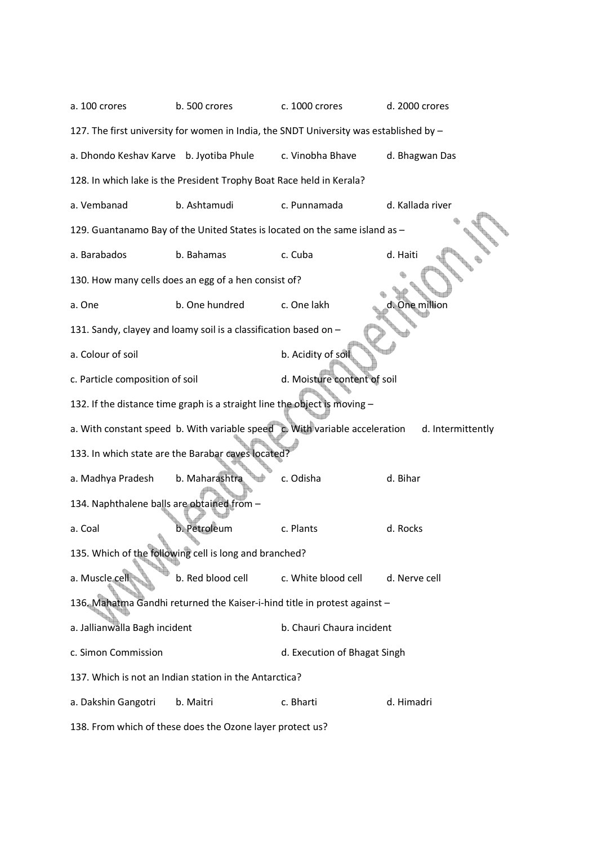| a. 100 crores                              | b. 500 crores                                                                          | c. 1000 crores               | d. 2000 crores    |
|--------------------------------------------|----------------------------------------------------------------------------------------|------------------------------|-------------------|
|                                            | 127. The first university for women in India, the SNDT University was established by - |                              |                   |
| a. Dhondo Keshav Karve b. Jyotiba Phule    |                                                                                        | c. Vinobha Bhave             | d. Bhagwan Das    |
|                                            | 128. In which lake is the President Trophy Boat Race held in Kerala?                   |                              |                   |
| a. Vembanad                                | b. Ashtamudi                                                                           | c. Punnamada                 | d. Kallada river  |
|                                            | 129. Guantanamo Bay of the United States is located on the same island as -            |                              |                   |
| a. Barabados                               | b. Bahamas                                                                             | c. Cuba                      | d. Haiti          |
|                                            | 130. How many cells does an egg of a hen consist of?                                   |                              |                   |
| a. One                                     | b. One hundred                                                                         | c. One lakh                  | d. One million    |
|                                            | 131. Sandy, clayey and loamy soil is a classification based on -                       |                              |                   |
| a. Colour of soil                          |                                                                                        | b. Acidity of soil           |                   |
| c. Particle composition of soil            |                                                                                        | d. Moisture content of soil  |                   |
|                                            | 132. If the distance time graph is a straight line the object is moving -              |                              |                   |
|                                            | a. With constant speed b. With variable speed c. With variable acceleration            |                              | d. Intermittently |
|                                            | 133. In which state are the Barabar caves located?                                     |                              |                   |
| a. Madhya Pradesh                          | b. Maharashtra                                                                         | c. Odisha                    | d. Bihar          |
| 134. Naphthalene balls are obtained from - |                                                                                        |                              |                   |
| a. Coal                                    | b. Petroleum                                                                           | c. Plants                    | d. Rocks          |
|                                            | 135. Which of the following cell is long and branched?                                 |                              |                   |
| a. Muscle cel                              | b. Red blood cell                                                                      | c. White blood cell          | d. Nerve cell     |
|                                            | 136. Mahatma Gandhi returned the Kaiser-i-hind title in protest against -              |                              |                   |
| a. Jallianwalla Bagh incident              |                                                                                        | b. Chauri Chaura incident    |                   |
| c. Simon Commission                        |                                                                                        | d. Execution of Bhagat Singh |                   |
|                                            | 137. Which is not an Indian station in the Antarctica?                                 |                              |                   |
| a. Dakshin Gangotri                        | b. Maitri                                                                              | c. Bharti                    | d. Himadri        |
|                                            | 138. From which of these does the Ozone layer protect us?                              |                              |                   |